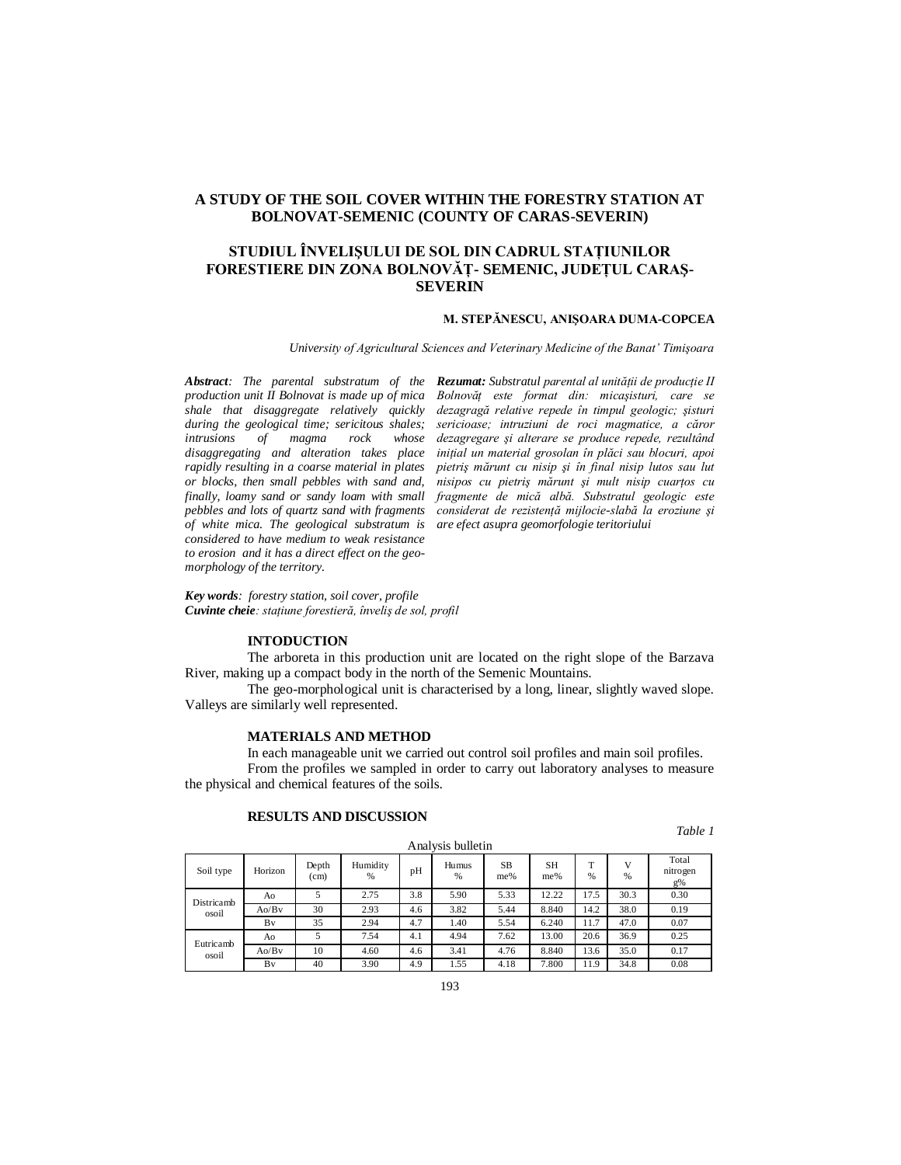## **A STUDY OF THE SOIL COVER WITHIN THE FORESTRY STATION AT BOLNOVAT-SEMENIC (COUNTY OF CARAS-SEVERIN)**

## **STUDIUL ÎNVELIŞULUI DE SOL DIN CADRUL STAŢIUNILOR FORESTIERE DIN ZONA BOLNOVĂŢ- SEMENIC, JUDEŢUL CARAŞ-SEVERIN**

#### **M. STEPĂNESCU, ANIŞOARA DUMA-COPCEA**

*University of Agricultural Sciences and Veterinary Medicine of the Banat' Timişoara*

*production unit II Bolnovat is made up of mica intrusions of magma rock whose or blocks, then small pebbles with sand and, of white mica. The geological substratum is are efect asupra geomorfologie teritoriului considered to have medium to weak resistance to erosion and it has a direct effect on the geomorphology of the territory.*

*Abstract: The parental substratum of the Rezumat: Substratul parental al unităţii de producţie II shale that disaggregate relatively quickly dezagragă relative repede în timpul geologic; şisturi during the geological time; sericitous shales; sericioase; intruziuni de roci magmatice, a căror disaggregating and alteration takes place iniţial un material grosolan în plăci sau blocuri, apoi rapidly resulting in a coarse material in plates pietriş mărunt cu nisip şi în final nisip lutos sau lut finally, loamy sand or sandy loam with small fragmente de mică albă. Substratul geologic este pebbles and lots of quartz sand with fragments considerat de rezistenţă mijlocie-slabă la eroziune şi Bolnovăţ este format din: micaşisturi, care se dezagregare şi alterare se produce repede, rezultând*  nisipos cu pietris mărunt și mult nisip cuartos cu

*Key words: forestry station, soil cover, profile Cuvinte cheie: staţiune forestieră, înveliş de sol, profil*

### **INTODUCTION**

The arboreta in this production unit are located on the right slope of the Barzava River, making up a compact body in the north of the Semenic Mountains.

The geo-morphological unit is characterised by a long, linear, slightly waved slope. Valleys are similarly well represented.

### **MATERIALS AND METHOD**

In each manageable unit we carried out control soil profiles and main soil profiles. From the profiles we sampled in order to carry out laboratory analyses to measure the physical and chemical features of the soils.

# **RESULTS AND DISCUSSION**

*Table 1*

| ------- , --- - ----- - - |         |               |               |     |            |                  |           |        |        |                            |
|---------------------------|---------|---------------|---------------|-----|------------|------------------|-----------|--------|--------|----------------------------|
| Soil type                 | Horizon | Depth<br>(cm) | Humidity<br>% | pH  | Humus<br>% | <b>SB</b><br>me% | SН<br>me% | m<br>% | v<br>% | Total<br>nitrogen<br>$g\%$ |
| Districamb<br>osoil       | Ao      | 5             | 2.75          | 3.8 | 5.90       | 5.33             | 12.22     | 17.5   | 30.3   | 0.30                       |
|                           | Ao/Bv   | 30            | 2.93          | 4.6 | 3.82       | 5.44             | 8.840     | 14.2   | 38.0   | 0.19                       |
|                           | Bv      | 35            | 2.94          | 4.7 | 1.40       | 5.54             | 6.240     | 11.7   | 47.0   | 0.07                       |
| Eutricamb<br>osoil        | Ao      | 5             | 7.54          | 4.1 | 4.94       | 7.62             | 13.00     | 20.6   | 36.9   | 0.25                       |
|                           | Ao/Bv   | 10            | 4.60          | 4.6 | 3.41       | 4.76             | 8.840     | 13.6   | 35.0   | 0.17                       |
|                           | Bv      | 40            | 3.90          | 4.9 | 1.55       | 4.18             | 7.800     | 11.9   | 34.8   | 0.08                       |

Analysis bulletin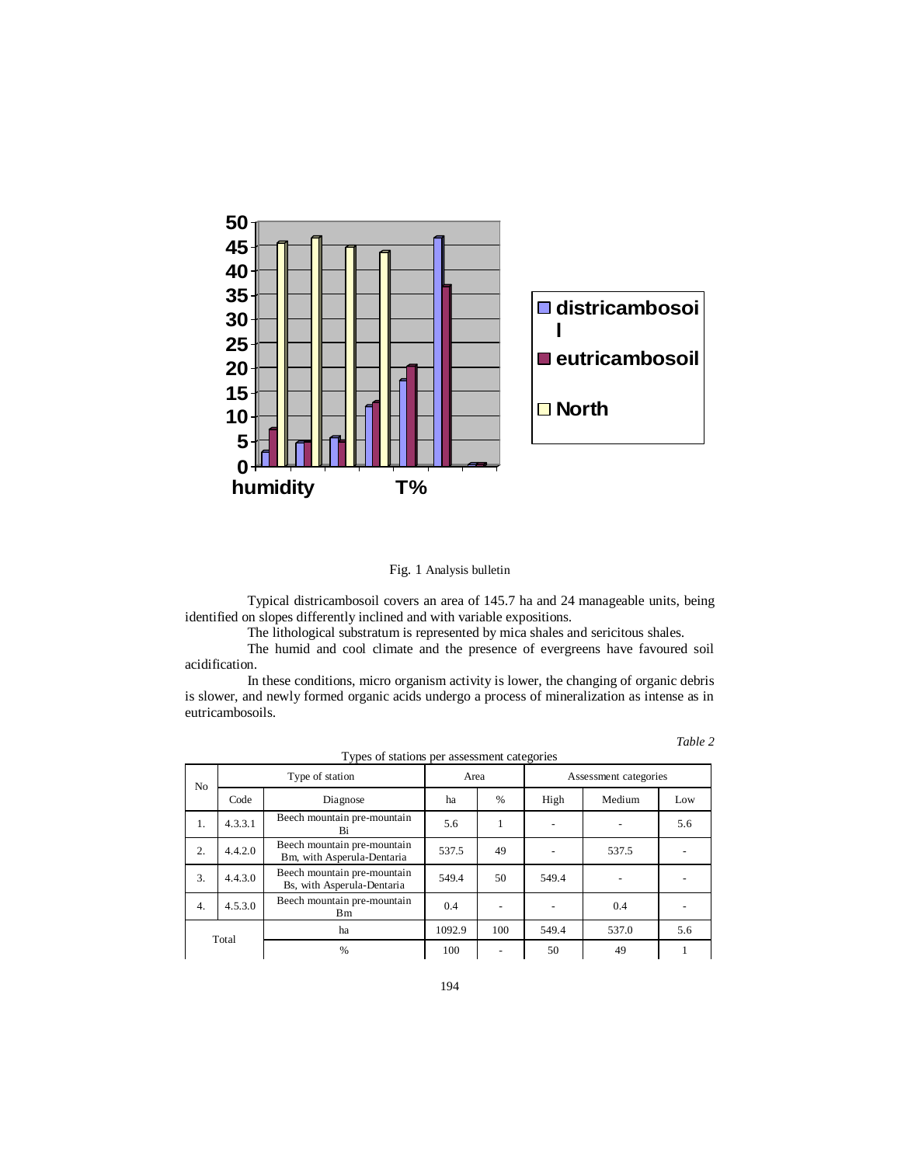



Typical districambosoil covers an area of 145.7 ha and 24 manageable units, being identified on slopes differently inclined and with variable expositions.

The lithological substratum is represented by mica shales and sericitous shales.

The humid and cool climate and the presence of evergreens have favoured soil acidification.

In these conditions, micro organism activity is lower, the changing of organic debris is slower, and newly formed organic acids undergo a process of mineralization as intense as in eutricambosoils.

| Types of stations per assessment categories |         |                                                           |        |               |                       |        |     |  |
|---------------------------------------------|---------|-----------------------------------------------------------|--------|---------------|-----------------------|--------|-----|--|
| N <sub>o</sub>                              |         | Type of station                                           | Area   |               | Assessment categories |        |     |  |
|                                             | Code    | Diagnose                                                  | ha     | $\frac{0}{0}$ | High                  | Medium | Low |  |
| 1.                                          | 4.3.3.1 | Beech mountain pre-mountain<br>Bi                         | 5.6    | 1             |                       |        | 5.6 |  |
| 2.                                          | 4.4.2.0 | Beech mountain pre-mountain<br>Bm, with Asperula-Dentaria | 537.5  | 49            |                       | 537.5  |     |  |
| 3.                                          | 4.4.3.0 | Beech mountain pre-mountain<br>Bs, with Asperula-Dentaria | 549.4  | 50            | 549.4                 |        |     |  |
| $\overline{4}$ .                            | 4.5.3.0 | Beech mountain pre-mountain<br>Вm                         | 0.4    |               |                       | 0.4    |     |  |
| Total                                       |         | ha                                                        | 1092.9 | 100           | 549.4                 | 537.0  | 5.6 |  |
|                                             |         | $\%$                                                      | 100    |               | 50                    | 49     |     |  |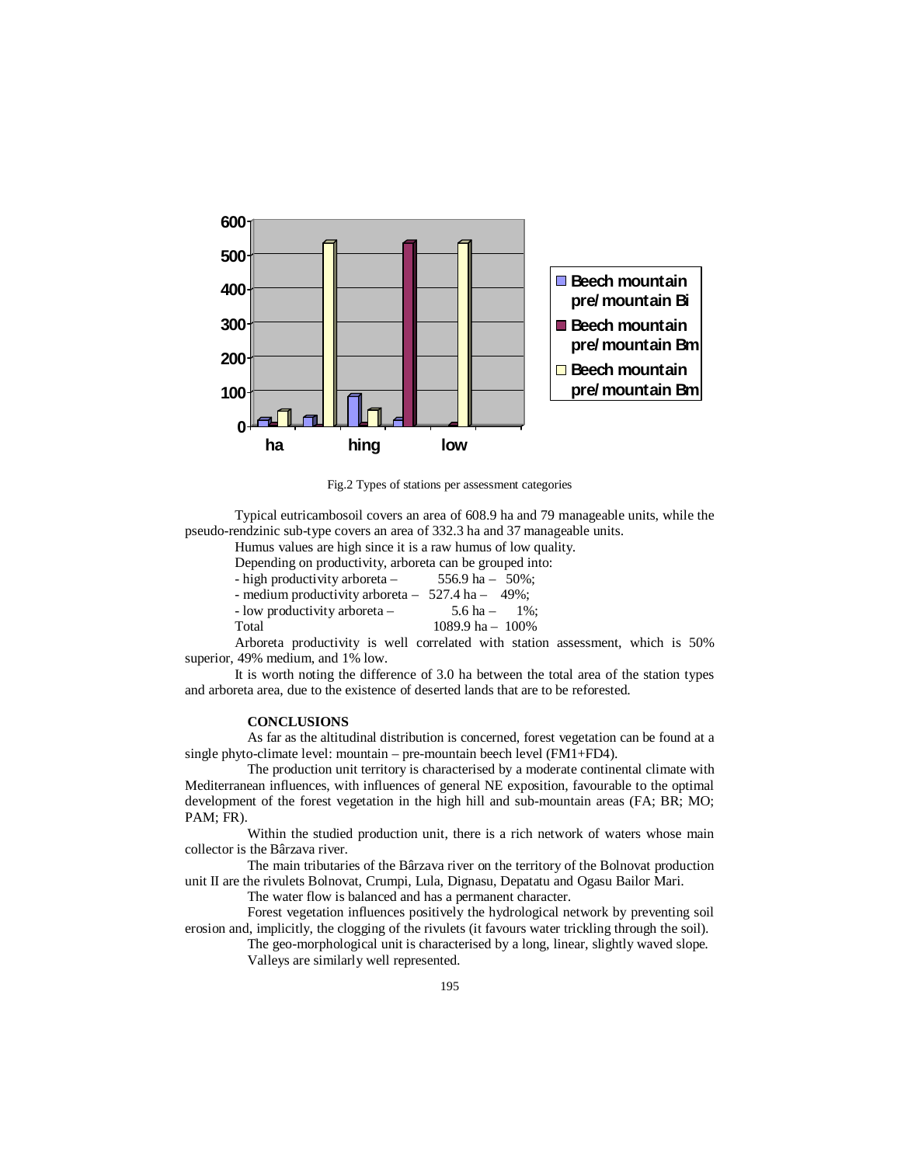

Fig.2 Types of stations per assessment categories

Typical eutricambosoil covers an area of 608.9 ha and 79 manageable units, while the pseudo-rendzinic sub-type covers an area of 332.3 ha and 37 manageable units.

Humus values are high since it is a raw humus of low quality.

Depending on productivity, arboreta can be grouped into:

| - high productivity arboreta $-$                     | 556.9 ha $-$ 50%:  |
|------------------------------------------------------|--------------------|
| - medium productivity arboreta $-527.4$ ha $-49\%$ ; |                    |
| - low productivity arboreta -                        | 5.6 ha $-$ 1%:     |
| Total                                                | 1089.9 ha $-100\%$ |

Arboreta productivity is well correlated with station assessment, which is 50% superior, 49% medium, and 1% low.

It is worth noting the difference of 3.0 ha between the total area of the station types and arboreta area, due to the existence of deserted lands that are to be reforested.

## **CONCLUSIONS**

As far as the altitudinal distribution is concerned, forest vegetation can be found at a single phyto-climate level: mountain – pre-mountain beech level (FM1+FD4).

The production unit territory is characterised by a moderate continental climate with Mediterranean influences, with influences of general NE exposition, favourable to the optimal development of the forest vegetation in the high hill and sub-mountain areas (FA; BR; MO; PAM; FR).

Within the studied production unit, there is a rich network of waters whose main collector is the Bârzava river.

The main tributaries of the Bârzava river on the territory of the Bolnovat production unit II are the rivulets Bolnovat, Crumpi, Lula, Dignasu, Depatatu and Ogasu Bailor Mari.

The water flow is balanced and has a permanent character.

Forest vegetation influences positively the hydrological network by preventing soil erosion and, implicitly, the clogging of the rivulets (it favours water trickling through the soil).

The geo-morphological unit is characterised by a long, linear, slightly waved slope. Valleys are similarly well represented.